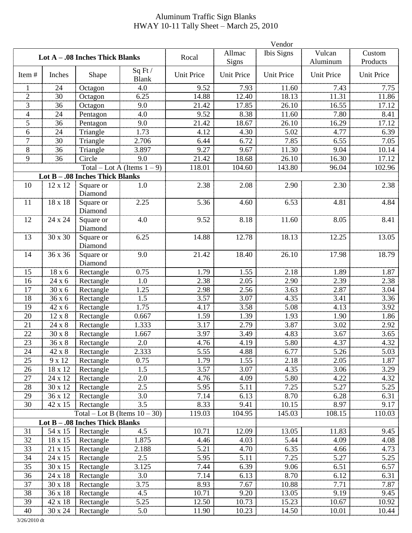## Aluminum Traffic Sign Blanks HWAY 10-11 Tally Sheet – March 25, 2010

|                                 |               |                                  |                                | Vendor            |                   |                   |                    |                    |  |
|---------------------------------|---------------|----------------------------------|--------------------------------|-------------------|-------------------|-------------------|--------------------|--------------------|--|
| Lot A - .08 Inches Thick Blanks |               |                                  |                                | Rocal             | Allmac<br>Signs   | <b>Ibis Signs</b> | Vulcan<br>Aluminum | Custom<br>Products |  |
| Item#                           | Inches        | Shape                            | Sq Ft /<br><b>Blank</b>        | <b>Unit Price</b> | <b>Unit Price</b> | <b>Unit Price</b> | Unit Price         | Unit Price         |  |
| 1                               | 24            | Octagon                          | 4.0                            | 9.52              | 7.93              | 11.60             | 7.43               | 7.75               |  |
| $\overline{2}$                  | 30            | Octagon                          | 6.25                           | 14.88             | 12.40             | 18.13             | 11.31              | 11.86              |  |
| 3                               | 36            | Octagon                          | 9.0                            | 21.42             | 17.85             | 26.10             | 16.55              | 17.12              |  |
| 4                               | 24            | Pentagon                         | 4.0                            | 9.52              | 8.38              | 11.60             | 7.80               | 8.41               |  |
| 5                               | 36            | Pentagon                         | 9.0                            | 21.42             | 18.67             | 26.10             | 16.29              | 17.12              |  |
| 6                               | 24            | Triangle                         | 1.73                           | 4.12              | 4.30              | 5.02              | 4.77               | 6.39               |  |
| 7                               | 30            | Triangle                         | 2.706                          | 6.44              | 6.72              | 7.85              | 6.55               | 7.05               |  |
| 8                               | 36            | Triangle                         | 3.897                          | 9.27              | 9.67              | 11.30             | 9.04               | 10.14              |  |
| 9                               | 36            | Circle                           | 9.0                            | 21.42             | 18.68             | 26.10             | 16.30              | 17.12              |  |
|                                 |               |                                  | Total – Lot A (Items $1 - 9$ ) | 118.01            | 104.60            | 143.80            | 96.04              | 102.96             |  |
|                                 |               | Lot B - .08 Inches Thick Blanks  |                                |                   |                   |                   |                    |                    |  |
| 10                              | 12 x 12       | Square or<br>Diamond             | 1.0                            | 2.38              | 2.08              | 2.90              | 2.30               | 2.38               |  |
| 11                              | 18 x 18       | Square or<br>Diamond             | 2.25                           | 5.36              | 4.60              | 6.53              | 4.81               | 4.84               |  |
| 12                              | 24 x 24       | Square or<br>Diamond             | 4.0                            | 9.52              | 8.18              | 11.60             | 8.05               | 8.41               |  |
| 13                              | 30 x 30       | Square or<br>Diamond             | 6.25                           | 14.88             | 12.78             | 18.13             | 12.25              | 13.05              |  |
| 14                              | 36 x 36       | Square or<br>Diamond             | 9.0                            | 21.42             | 18.40             | 26.10             | 17.98              | 18.79              |  |
| 15                              | 18 x 6        | Rectangle                        | 0.75                           | 1.79              | 1.55              | 2.18              | 1.89               | 1.87               |  |
| 16                              | 24 x 6        | Rectangle                        | 1.0                            | 2.38              | 2.05              | 2.90              | 2.39               | 2.38               |  |
| 17                              | 30 x 6        | Rectangle                        | 1.25                           | 2.98              | 2.56              | 3.63              | 2.87               | 3.04               |  |
| 18                              | 36 x 6        | Rectangle                        | 1.5                            | 3.57              | 3.07              | 4.35              | 3.41               | 3.36               |  |
| 19                              | 42 x 6        | Rectangle                        | 1.75                           | 4.17              | 3.58              | 5.08              | 4.13               | 3.92               |  |
| 20                              | 12 x 8        | Rectangle                        | 0.667                          | 1.59              | 1.39              | 1.93              | 1.90               | 1.86               |  |
| 21                              | 24 x 8        | Rectangle                        | 1.333                          | 3.17              | 2.79              | 3.87              | 3.02               | 2.92               |  |
| 22                              | $30 \times 8$ | Rectangle                        | 1.667                          | 3.97              | 3.49              | 4.83              | 3.67               | 3.65               |  |
| 23                              | $36x8$        | Rectangle                        | 2.0                            | 4.76              | 4.19              | 5.80              | 4.37               | 4.32               |  |
| 24                              | 42 x 8        | Rectangle                        | 2.333                          | 5.55              | 4.88              | 6.77              | 5.26               | 5.03               |  |
| 25                              | 9 x 12        | Rectangle                        | 0.75                           | 1.79              | 1.55              | 2.18              | 2.05               | 1.87               |  |
| 26                              | $18 \ge 12$   | Rectangle                        | 1.5                            | 3.57              | 3.07              | 4.35              | 3.06               | 3.29               |  |
| 27                              | 24 x 12       | Rectangle                        | 2.0                            | 4.76              | 4.09              | 5.80              | 4.22               | 4.32               |  |
| 28                              | 30 x 12       | Rectangle                        | 2.5                            | 5.95              | 5.11              | 7.25              | 5.27               | 5.25               |  |
| 29                              | 36 x 12       | Rectangle                        | 3.0                            | 7.14              | 6.13              | 8.70              | 6.28               | 6.31               |  |
| 30                              | 42 x 15       | Rectangle                        | 3.5                            | 8.33              | 9.41              | 10.15             | 8.97               | 9.17               |  |
|                                 |               | Total – Lot B (Items $10 - 30$ ) |                                | 119.03            | 104.95            | 145.03            | 108.15             | 110.03             |  |
|                                 |               | Lot B - .08 Inches Thick Blanks  |                                |                   |                   |                   |                    |                    |  |
| 31                              | 54 x 15       | Rectangle                        | 4.5                            | 10.71             | 12.09             | 13.05             | 11.83              | 9.45               |  |
| 32                              | 18 x 15       | Rectangle                        | 1.875                          | 4.46              | 4.03              | 5.44              | 4.09               | 4.08               |  |
| 33                              | 21 x 15       | Rectangle                        | 2.188                          | 5.21              | 4.70              | 6.35              | 4.66               | 4.73               |  |
| 34                              | 24 x 15       | Rectangle                        | 2.5                            | 5.95              | 5.11              | 7.25              | 5.27               | 5.25               |  |
| 35                              | 30 x 15       | Rectangle                        | 3.125                          | 7.44              | 6.39              | 9.06              | 6.51               | 6.57               |  |
| 36                              | 24 x 18       | Rectangle                        | 3.0                            | 7.14              | 6.13              | 8.70              | 6.12               | 6.31               |  |
| 37                              | 30 x 18       | Rectangle                        | 3.75                           | 8.93              | 7.67              | 10.88             | 7.71               | 7.87               |  |
| 38                              | 36 x 18       | Rectangle                        | 4.5                            | 10.71             | 9.20              | 13.05             | 9.19               | 9.45               |  |
| 39                              | 42 x 18       | Rectangle                        | 5.25                           | 12.50             | 10.73             | 15.23             | 10.67              | 10.92              |  |
| 40                              | 30 x 24       | Rectangle                        | 5.0                            | 11.90             | 10.23             | 14.50             | 10.01              | 10.44              |  |

3/26/2010 dt